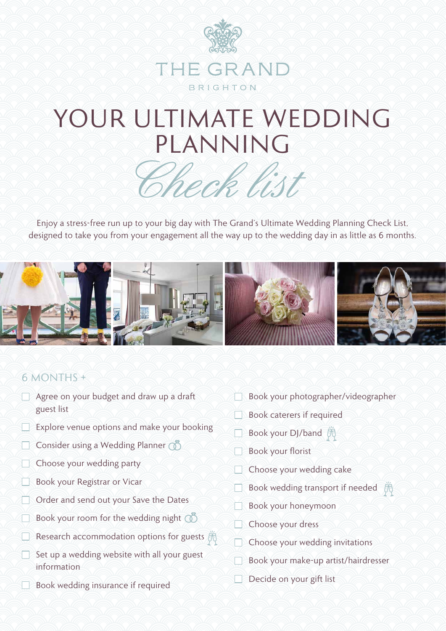

# YOUR ULTIMATE WEDDING PLANNING

Check list

Enjoy a stress-free run up to your big day with The Grand's Ultimate Wedding Planning Check List, designed to take you from your engagement all the way up to the wedding day in as little as 6 months.



### 6 MONTHS +

- $\Box$  Agree on your budget and draw up a draft guest list
- Explore venue options and make your booking
- □ Consider using a Wedding Planner **①**
- Choose your wedding party
- Book your Registrar or Vicar
- $\Box$  Order and send out your Save the Dates
- Book your room for the wedding night  $\oslash$
- Research accommodation options for guests  $\tilde{\mathbb{R}}$
- $\Box$  Set up a wedding website with all your guest information
- Book wedding insurance if required
- Book your photographer/videographer
- Book caterers if required
- **Book your DJ/band** 荫
- Book your florist
- $\Box$  Choose your wedding cake
- Book wedding transport if needed  $\tilde{\mathbb{R}}$
- Book your honeymoon
- Choose your dress
- $\Box$  Choose your wedding invitations
- Book your make-up artist/hairdresser
- $\Box$  Decide on your gift list